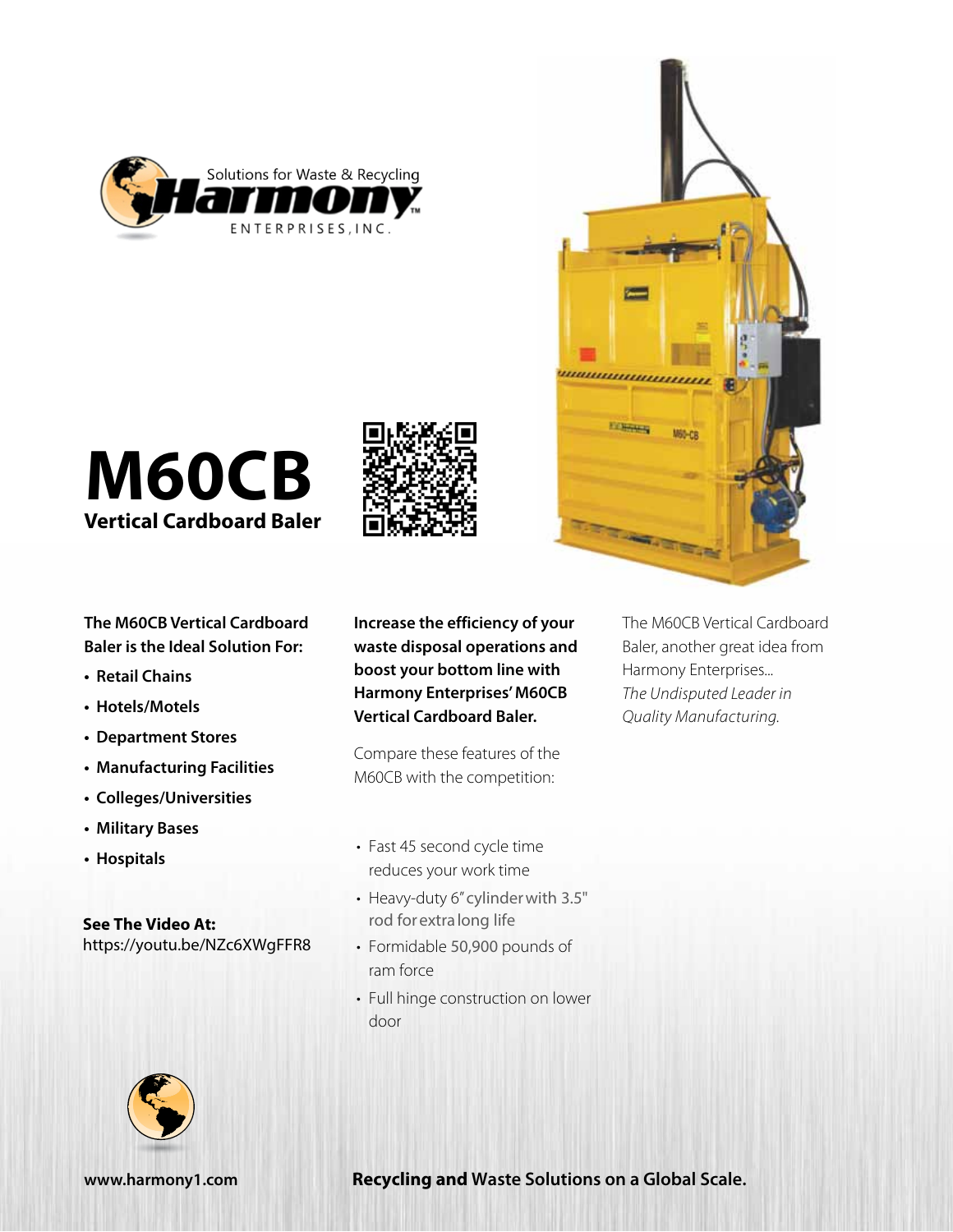



**M60CB Vertical Cardboard Baler**

**The M60CB Vertical Cardboard Baler is the Ideal Solution For:**

- **• Retail Chains**
- **• Hotels/Motels**
- **• Department Stores**
- **• Manufacturing Facilities**
- **• Colleges/Universities**
- **• Military Bases**
- **• Hospitals**

**See The Video At:** <https://youtu.be/NZc6XWgFFR8> **Increase the efficiency of your waste disposal operations and boost your bottom line with Harmony Enterprises' M60CB Vertical Cardboard Baler.** 

Compare these features of the M60CB with the competition:

• Fast 45 second cycle time reduces your work time

- Heavy-duty 6" cylinder with 3.5" rod for extra long life
- Formidable 50,900 pounds of ram force
- Full hinge construction on lower door



The M60CB Vertical Cardboard Baler, another great idea from Harmony Enterprises... *The Undisputed Leader in Quality Manufacturing.*



**[www.harmony1.com](http://www.harmony1.com) Recycling and Waste Solutions on a Global Scale.**